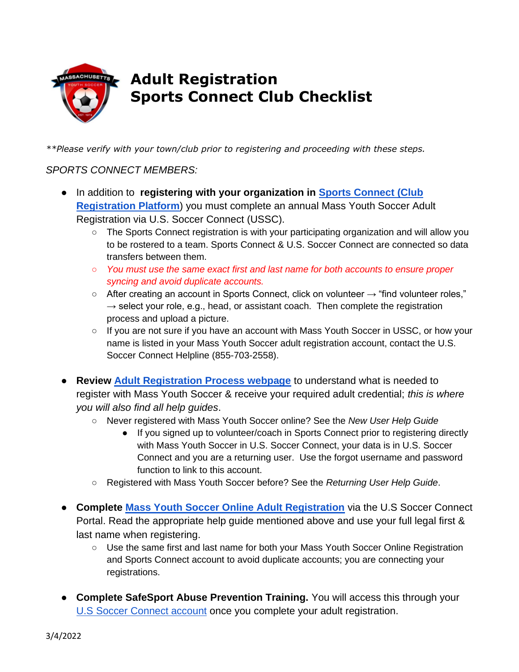

# **Adult Registration Sports Connect Club Checklist**

*\*\*Please verify with your town/club prior to registering and proceeding with these steps.* 

## *SPORTS CONNECT MEMBERS:*

- In addition to **registering with your organization in [Sports Connect \(Club](https://login.stacksports.com/login?client_id=612b0399b1854a002e427f78&redirect_uri=https://core-api.bluesombrero.com/login/redirect/portal/51438&app_name=Massachusetts+Youth+Soccer+Association&portalid=51438&instancekey=clubs&returnurl=%2fDefault.aspx%3ftabid%3d846832%26ctl%3dUser%2520Roles%26mid%3d892882%26RoleId%3d90422)  Registration Platform**) you must complete an annual Mass Youth Soccer Adult Registration via U.S. Soccer Connect (USSC).
	- The Sports Connect registration is with your participating organization and will allow you to be rostered to a team. Sports Connect & U.S. Soccer Connect are connected so data transfers between them.
	- *You must use the same exact first and last name for both accounts to ensure proper syncing and avoid duplicate accounts.*
	- After creating an account in Sports Connect, click on volunteer → "find volunteer roles,"  $\rightarrow$  select your role, e.g., head, or assistant coach. Then complete the registration process and upload a picture.
	- If you are not sure if you have an account with Mass Youth Soccer in USSC, or how your name is listed in your Mass Youth Soccer adult registration account, contact the U.S. Soccer Connect Helpline (855-703-2558).
- **Review [Adult Registration Process webpage](https://www.mayouthsoccer.org/adult-registration-process/)** to understand what is needed to register with Mass Youth Soccer & receive your required adult credential; *this is where you will also find all help guides*.
	- Never registered with Mass Youth Soccer online? See the *New User Help Guide*
		- If you signed up to volunteer/coach in Sports Connect prior to registering directly with Mass Youth Soccer in U.S. Soccer Connect, your data is in U.S. Soccer Connect and you are a returning user. Use the forgot username and password function to link to this account.
	- Registered with Mass Youth Soccer before? See the *Returning User Help Guide*[.](https://www.mayouthsoccer.org/assets/61/6/mass_youth_soccer_adult_reg_help_guide__returning_user_2021v4.pdf)
- **Complete [Mass Youth Soccer Online Adult Registration](https://secure.sportsaffinity.com/reg/index.asp?sessionguid=&domain=ma%2Dcori%2Eaffinitysoccer%2Ecom)** via the U.S Soccer Connect Portal. Read the appropriate help guide mentioned above and use your full legal first & last name when registering.
	- Use the same first and last name for both your Mass Youth Soccer Online Registration and Sports Connect account to avoid duplicate accounts; you are connecting your registrations.
- **Complete SafeSport Abuse Prevention Training.** You will access this through your [U.S Soccer Connect account](https://mayouthsoccer.sportsaffinity.com/Foundation/Login.aspx?sessionguid=) once you complete your adult registration.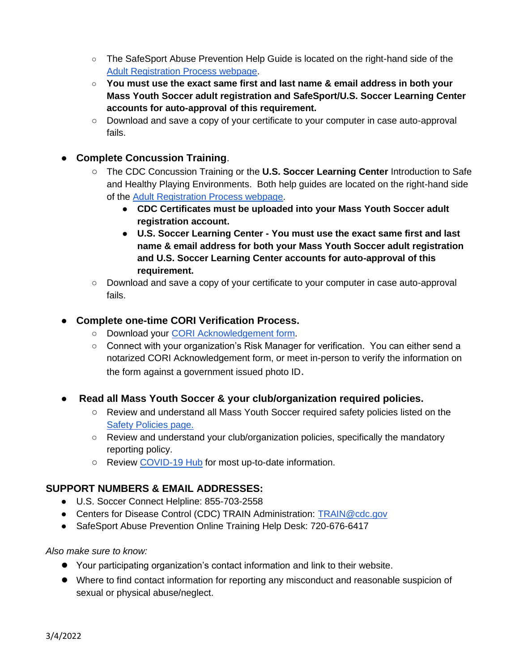- The SafeSport Abuse Prevention Help Guide is located on the right-hand side of the [Adult Registration Process webpage.](https://www.mayouthsoccer.org/adult-registration-process/)
- **You must use the exact same first and last name & email address in both your Mass Youth Soccer adult registration and SafeSport/U.S. Soccer Learning Center accounts for auto-approval of this requirement.**
- Download and save a copy of your certificate to your computer in case auto-approval fails.
- **Complete Concussion Training**.
	- The CDC Concussion Training or the **U.S. Soccer Learning Center** Introduction to Safe and Healthy Playing Environments. Both help guides are located on the right-hand side of the [Adult Registration Process webpage.](https://www.mayouthsoccer.org/adult-registration-process/)
		- **CDC Certificates must be uploaded into your Mass Youth Soccer adult registration account.**
		- **U.S. Soccer Learning Center - You must use the exact same first and last name & email address for both your Mass Youth Soccer adult registration and U.S. Soccer Learning Center accounts for auto-approval of this requirement.**
	- Download and save a copy of your certificate to your computer in case auto-approval fails.

### ● **Complete one-time CORI Verification Process.**

- Download your [CORI Acknowledgement form.](https://www.mayouthsoccer.org/assets/61/6/how_to_verify_reg_-find_trainin_linksdocx-print_cori_acknowledgement_form.pdf)
- Connect with your organization's Risk Manager for verification. You can either send a notarized CORI Acknowledgement form, or meet in-person to verify the information on the form against a government issued photo ID.
- **Read all Mass Youth Soccer & your club/organization required policies.** 
	- Review and understand all Mass Youth Soccer required safety policies listed on the [Safety Policies page.](https://www.mayouthsoccer.org/required-policies/)
	- Review and understand your club/organization policies, specifically the mandatory reporting policy.
	- Review [COVID-19 Hub](https://www.mayouthsoccer.org/covid-hub/) for most up-to-date information.

#### **SUPPORT NUMBERS & EMAIL ADDRESSES:**

- U.S. Soccer Connect Helpline: 855-703-2558
- Centers for Disease Control (CDC) TRAIN Administration: [TRAIN@cdc.gov](mailto:TRAIN@cdc.gov)
- SafeSport Abuse Prevention Online Training Help Desk: 720-676-6417

#### *Also make sure to know:*

- Your participating organization's contact information and link to their website.
- Where to find contact information for reporting any misconduct and reasonable suspicion of sexual or physical abuse/neglect.